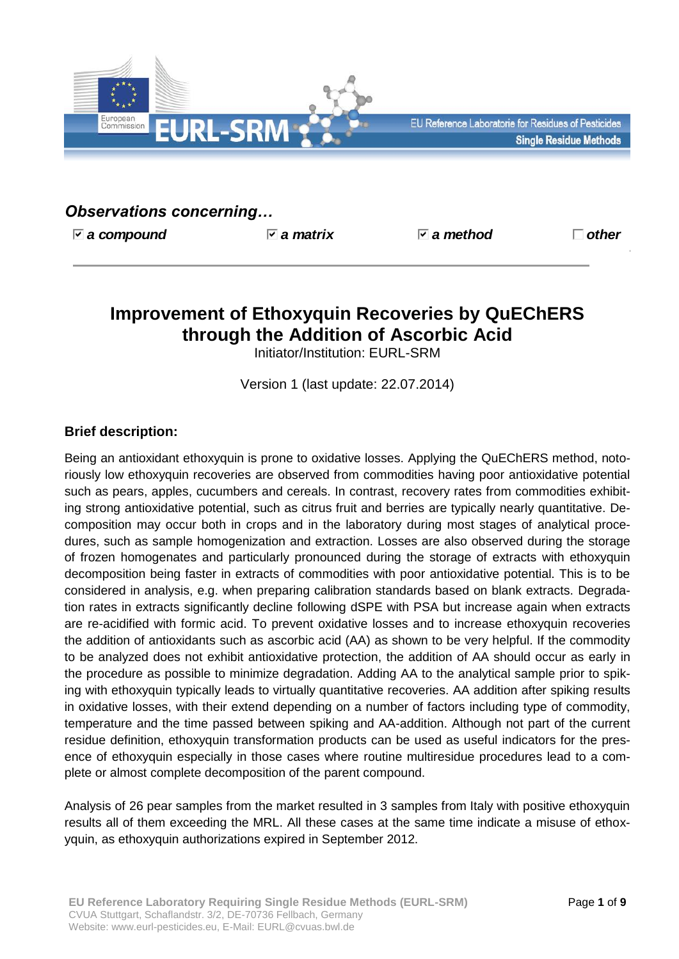

# *Observations concerning…*

*a compound a matrix a method other*

# **Improvement of Ethoxyquin Recoveries by QuEChERS through the Addition of Ascorbic Acid**

Initiator/Institution: EURL-SRM

Version 1 (last update: 22.07.2014)

# **Brief description:**

Being an antioxidant ethoxyquin is prone to oxidative losses. Applying the QuEChERS method, notoriously low ethoxyquin recoveries are observed from commodities having poor antioxidative potential such as pears, apples, cucumbers and cereals. In contrast, recovery rates from commodities exhibiting strong antioxidative potential, such as citrus fruit and berries are typically nearly quantitative. Decomposition may occur both in crops and in the laboratory during most stages of analytical procedures, such as sample homogenization and extraction. Losses are also observed during the storage of frozen homogenates and particularly pronounced during the storage of extracts with ethoxyquin decomposition being faster in extracts of commodities with poor antioxidative potential. This is to be considered in analysis, e.g. when preparing calibration standards based on blank extracts. Degradation rates in extracts significantly decline following dSPE with PSA but increase again when extracts are re-acidified with formic acid. To prevent oxidative losses and to increase ethoxyquin recoveries the addition of antioxidants such as ascorbic acid (AA) as shown to be very helpful. If the commodity to be analyzed does not exhibit antioxidative protection, the addition of AA should occur as early in the procedure as possible to minimize degradation. Adding AA to the analytical sample prior to spiking with ethoxyquin typically leads to virtually quantitative recoveries. AA addition after spiking results in oxidative losses, with their extend depending on a number of factors including type of commodity, temperature and the time passed between spiking and AA-addition. Although not part of the current residue definition, ethoxyquin transformation products can be used as useful indicators for the presence of ethoxyquin especially in those cases where routine multiresidue procedures lead to a complete or almost complete decomposition of the parent compound.

Analysis of 26 pear samples from the market resulted in 3 samples from Italy with positive ethoxyquin results all of them exceeding the MRL. All these cases at the same time indicate a misuse of ethoxyquin, as ethoxyquin authorizations expired in September 2012.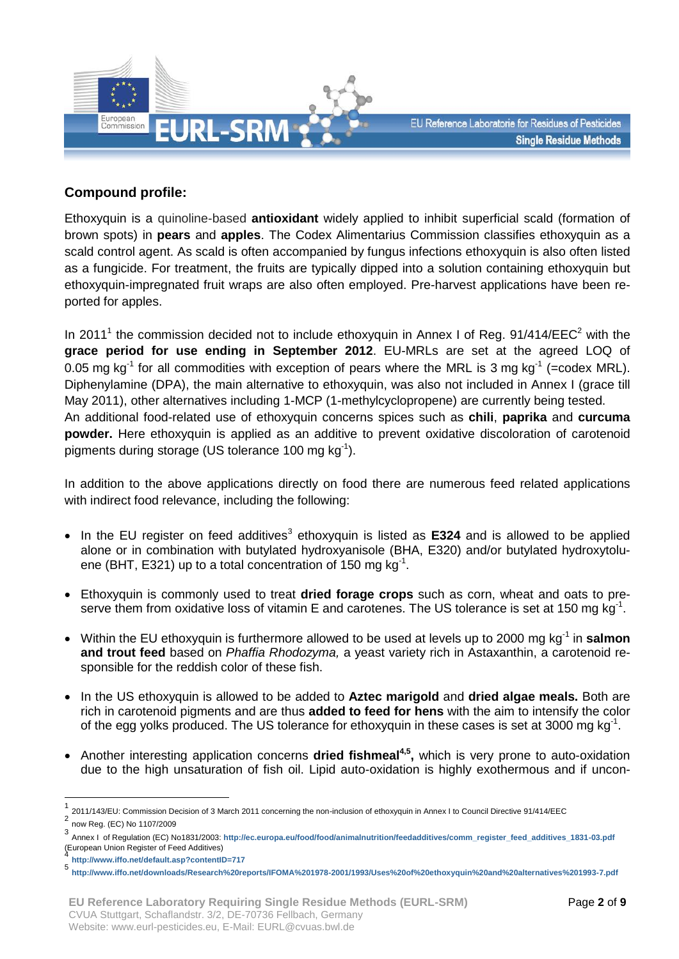

### **Compound profile:**

Ethoxyquin is a quinoline-based **antioxidant** widely applied to inhibit superficial scald (formation of brown spots) in **pears** and **apples**. The Codex Alimentarius Commission classifies ethoxyquin as a scald control agent. As scald is often accompanied by fungus infections ethoxyquin is also often listed as a fungicide. For treatment, the fruits are typically dipped into a solution containing ethoxyquin but ethoxyquin-impregnated fruit wraps are also often employed. Pre-harvest applications have been reported for apples.

In 2011<sup>1</sup> the commission decided not to include ethoxyquin in Annex I of Reg. 91/414/EEC<sup>2</sup> with the **grace period for use ending in September 2012**. EU-MRLs are set at the agreed LOQ of 0.05 mg kg<sup>-1</sup> for all commodities with exception of pears where the MRL is 3 mg kg<sup>-1</sup> (=codex MRL). Diphenylamine (DPA), the main alternative to ethoxyquin, was also not included in Annex I (grace till May 2011), other alternatives including 1-MCP (1-methylcyclopropene) are currently being tested. An additional food-related use of ethoxyquin concerns spices such as **chili**, **paprika** and **curcuma powder.** Here ethoxyquin is applied as an additive to prevent oxidative discoloration of carotenoid pigments during storage (US tolerance 100 mg  $kg^{-1}$ ).

In addition to the above applications directly on food there are numerous feed related applications with indirect food relevance, including the following:

- In the EU register on feed additives<sup>3</sup> ethoxyquin is listed as E324 and is allowed to be applied alone or in combination with butylated hydroxyanisole (BHA, E320) and/or butylated hydroxytoluene (BHT, E321) up to a total concentration of 150 mg kg<sup>-1</sup>.
- Ethoxyquin is commonly used to treat **dried forage crops** such as corn, wheat and oats to preserve them from oxidative loss of vitamin E and carotenes. The US tolerance is set at 150 mg kg<sup>-1</sup>.
- Within the EU ethoxyquin is furthermore allowed to be used at levels up to 2000 mg kg<sup>-1</sup> in **salmon and trout feed** based on *Phaffia Rhodozyma,* a yeast variety rich in Astaxanthin, a carotenoid responsible for the reddish color of these fish.
- In the US ethoxyquin is allowed to be added to **Aztec marigold** and **dried algae meals.** Both are rich in carotenoid pigments and are thus **added to feed for hens** with the aim to intensify the color of the egg yolks produced. The US tolerance for ethoxyquin in these cases is set at 3000 mg kg<sup>-1</sup>.
- Another interesting application concerns **dried fishmeal4,5 ,** which is very prone to auto-oxidation due to the high unsaturation of fish oil. Lipid auto-oxidation is highly exothermous and if uncon-

<u>.</u>

<sup>1</sup> 2011/143/EU: Commission Decision of 3 March 2011 concerning the non-inclusion of ethoxyquin in Annex I to Council Directive 91/414/EEC 2

now Reg. (EC) No 1107/2009 3

Annex I of Regulation (EC) No1831/2003: **[http://ec.europa.eu/food/food/animalnutrition/feedadditives/comm\\_register\\_feed\\_additives\\_1831-03.pdf](http://ec.europa.eu/food/food/animalnutrition/feedadditives/comm_register_feed_additives_1831-03.pdf)** (European Union Register of Feed Additives) 4

**<http://www.iffo.net/default.asp?contentID=717>**

<sup>5</sup> **<http://www.iffo.net/downloads/Research%20reports/IFOMA%201978-2001/1993/Uses%20of%20ethoxyquin%20and%20alternatives%201993-7.pdf>**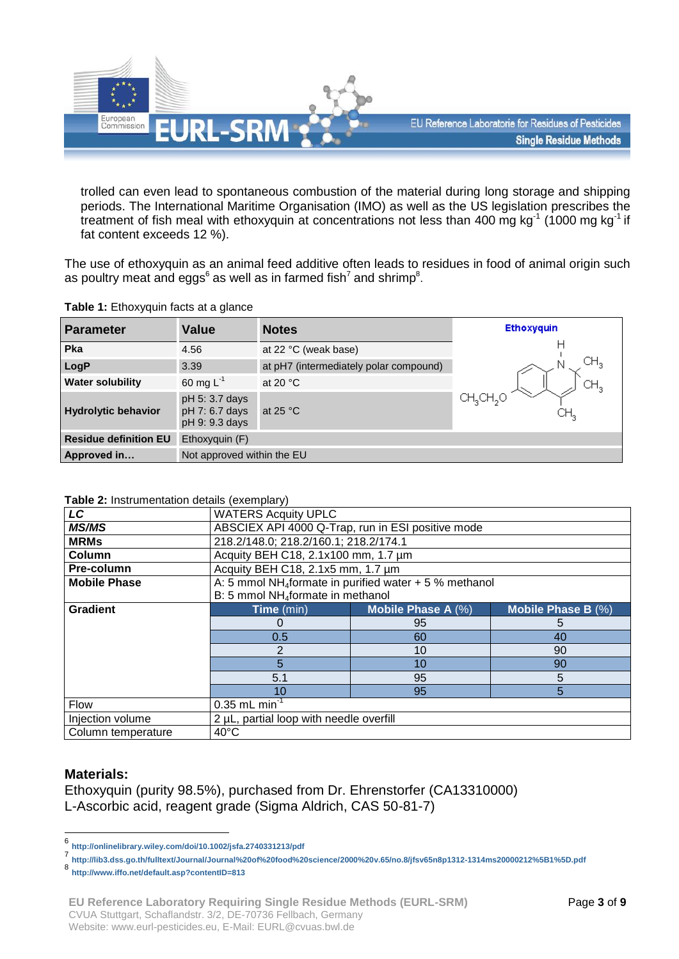

trolled can even lead to spontaneous combustion of the material during long storage and shipping periods. The International Maritime Organisation (IMO) as well as the US legislation prescribes the treatment of fish meal with ethoxyquin at concentrations not less than 400 mg kg<sup>-1</sup> (1000 mg kg<sup>-1</sup> if fat content exceeds 12 %).

The use of ethoxyquin as an animal feed additive often leads to residues in food of animal origin such as poultry meat and eggs<sup>6</sup> as well as in farmed fish<sup>7</sup> and shrimp<sup>8</sup>.

| <b>Parameter</b>             | <b>Value</b>                                       | <b>Notes</b>                           | <b>Ethoxyquin</b>    |  |  |
|------------------------------|----------------------------------------------------|----------------------------------------|----------------------|--|--|
| Pka                          | 4.56                                               | at 22 °C (weak base)                   |                      |  |  |
| LogP                         | 3.39                                               | at pH7 (intermediately polar compound) |                      |  |  |
| <b>Water solubility</b>      | 60 mg $L^{-1}$                                     | at 20 $\degree$ C                      |                      |  |  |
| <b>Hydrolytic behavior</b>   | pH 5: 3.7 days<br>pH 7: 6.7 days<br>pH 9: 9.3 days | at 25 $\degree$ C                      | CH3CH <sub>2</sub> O |  |  |
| <b>Residue definition EU</b> | Ethoxyquin (F)                                     |                                        |                      |  |  |
| Approved in                  | Not approved within the EU                         |                                        |                      |  |  |

**Table 1:** Ethoxyquin facts at a glance

#### **Table 2:** Instrumentation details (exemplary)

| LC                  | <b>WATERS Acquity UPLC</b>                                          |                    |                    |  |  |  |
|---------------------|---------------------------------------------------------------------|--------------------|--------------------|--|--|--|
| <b>MS/MS</b>        | ABSCIEX API 4000 Q-Trap, run in ESI positive mode                   |                    |                    |  |  |  |
| <b>MRMs</b>         | 218.2/148.0; 218.2/160.1; 218.2/174.1                               |                    |                    |  |  |  |
| <b>Column</b>       | Acquity BEH C18, 2.1x100 mm, 1.7 um                                 |                    |                    |  |  |  |
| Pre-column          | Acquity BEH C18, 2.1x5 mm, 1.7 µm                                   |                    |                    |  |  |  |
| <b>Mobile Phase</b> | A: 5 mmol NH <sub>4</sub> formate in purified water $+5$ % methanol |                    |                    |  |  |  |
|                     | B: 5 mmol NH <sub>4</sub> formate in methanol                       |                    |                    |  |  |  |
| <b>Gradient</b>     | Time (min)                                                          | Mobile Phase A (%) | Mobile Phase B (%) |  |  |  |
|                     | O                                                                   | 95                 | 5                  |  |  |  |
|                     | 0.5                                                                 | 60                 | 40                 |  |  |  |
|                     | 2                                                                   | 10                 | 90                 |  |  |  |
|                     | 5                                                                   | 10                 | 90                 |  |  |  |
|                     | 5.1                                                                 | 95                 | 5                  |  |  |  |
|                     | 10                                                                  | 95                 | 5                  |  |  |  |
| Flow                | $0.35$ mL min <sup>-1</sup>                                         |                    |                    |  |  |  |
| Injection volume    | 2 µL, partial loop with needle overfill                             |                    |                    |  |  |  |
| Column temperature  | $40^{\circ}$ C                                                      |                    |                    |  |  |  |

### **Materials:**

Ethoxyquin (purity 98.5%), purchased from Dr. Ehrenstorfer (CA13310000) L-Ascorbic acid, reagent grade (Sigma Aldrich, CAS 50-81-7)

<sup>–&</sup>lt;br>6 **<http://onlinelibrary.wiley.com/doi/10.1002/jsfa.2740331213/pdf>**

<sup>7</sup> **<http://lib3.dss.go.th/fulltext/Journal/Journal%20of%20food%20science/2000%20v.65/no.8/jfsv65n8p1312-1314ms20000212%5B1%5D.pdf>**

<sup>8</sup> **<http://www.iffo.net/default.asp?contentID=813>**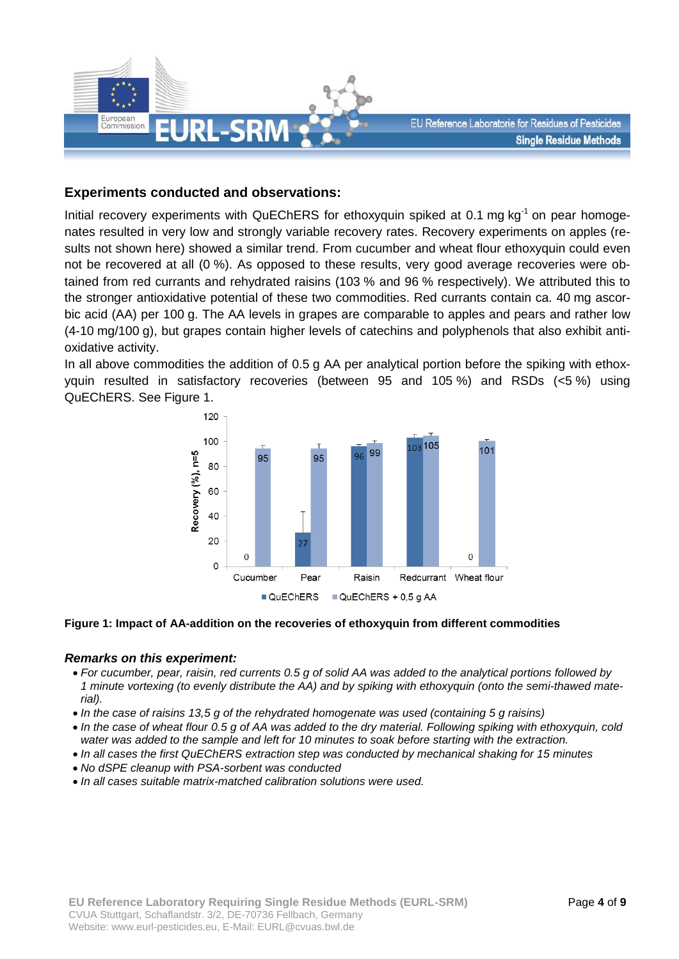

### **Experiments conducted and observations:**

Initial recovery experiments with QuEChERS for ethoxyquin spiked at 0.1 mg kg<sup>-1</sup> on pear homogenates resulted in very low and strongly variable recovery rates. Recovery experiments on apples (results not shown here) showed a similar trend. From cucumber and wheat flour ethoxyquin could even not be recovered at all (0 %). As opposed to these results, very good average recoveries were obtained from red currants and rehydrated raisins (103 % and 96 % respectively). We attributed this to the stronger antioxidative potential of these two commodities. Red currants contain ca. 40 mg ascorbic acid (AA) per 100 g. The AA levels in grapes are comparable to apples and pears and rather low (4-10 mg/100 g), but grapes contain higher levels of catechins and polyphenols that also exhibit antioxidative activity.

In all above commodities the addition of 0.5 g AA per analytical portion before the spiking with ethoxyquin resulted in satisfactory recoveries (between 95 and 105 %) and RSDs (<5 %) using QuEChERS. See Figure 1.



#### **Figure 1: Impact of AA-addition on the recoveries of ethoxyquin from different commodities**

#### *Remarks on this experiment:*

- *For cucumber, pear, raisin, red currents 0.5 g of solid AA was added to the analytical portions followed by 1 minute vortexing (to evenly distribute the AA) and by spiking with ethoxyquin (onto the semi-thawed material).*
- *In the case of raisins 13,5 g of the rehydrated homogenate was used (containing 5 g raisins)*
- *In the case of wheat flour 0.5 g of AA was added to the dry material. Following spiking with ethoxyquin, cold water was added to the sample and left for 10 minutes to soak before starting with the extraction.*
- *In all cases the first QuEChERS extraction step was conducted by mechanical shaking for 15 minutes*
- *No dSPE cleanup with PSA-sorbent was conducted*
- *In all cases suitable matrix-matched calibration solutions were used.*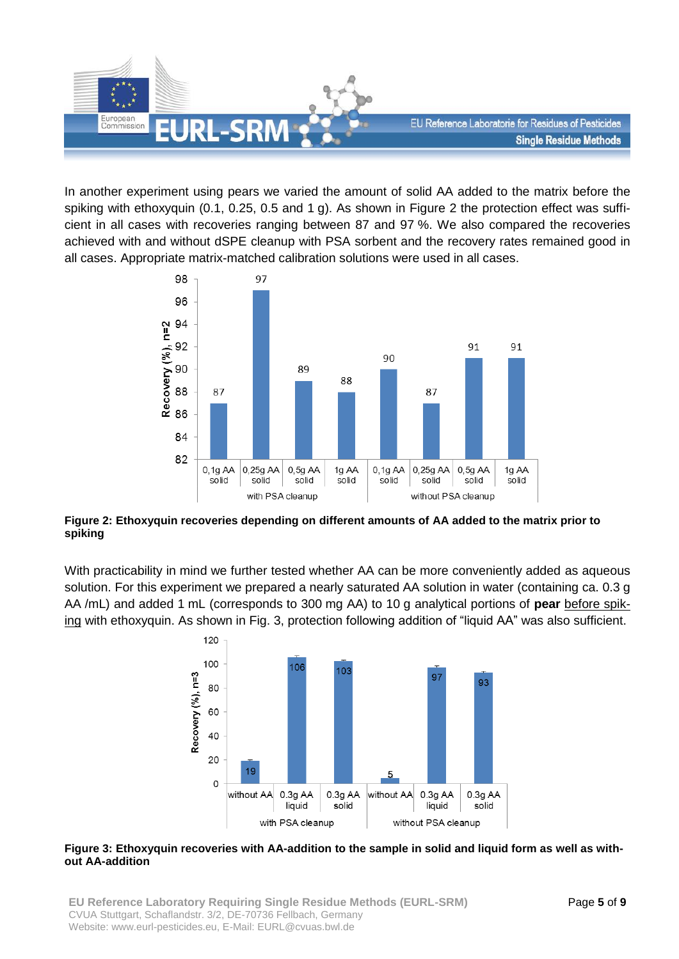

In another experiment using pears we varied the amount of solid AA added to the matrix before the spiking with ethoxyquin (0.1, 0.25, 0.5 and 1 g). As shown in Figure 2 the protection effect was sufficient in all cases with recoveries ranging between 87 and 97 %. We also compared the recoveries achieved with and without dSPE cleanup with PSA sorbent and the recovery rates remained good in all cases. Appropriate matrix-matched calibration solutions were used in all cases.



**Figure 2: Ethoxyquin recoveries depending on different amounts of AA added to the matrix prior to spiking**

With practicability in mind we further tested whether AA can be more conveniently added as aqueous solution. For this experiment we prepared a nearly saturated AA solution in water (containing ca. 0.3 g AA /mL) and added 1 mL (corresponds to 300 mg AA) to 10 g analytical portions of **pear** before spiking with ethoxyquin. As shown in Fig. 3, protection following addition of "liquid AA" was also sufficient.



#### **Figure 3: Ethoxyquin recoveries with AA-addition to the sample in solid and liquid form as well as without AA-addition**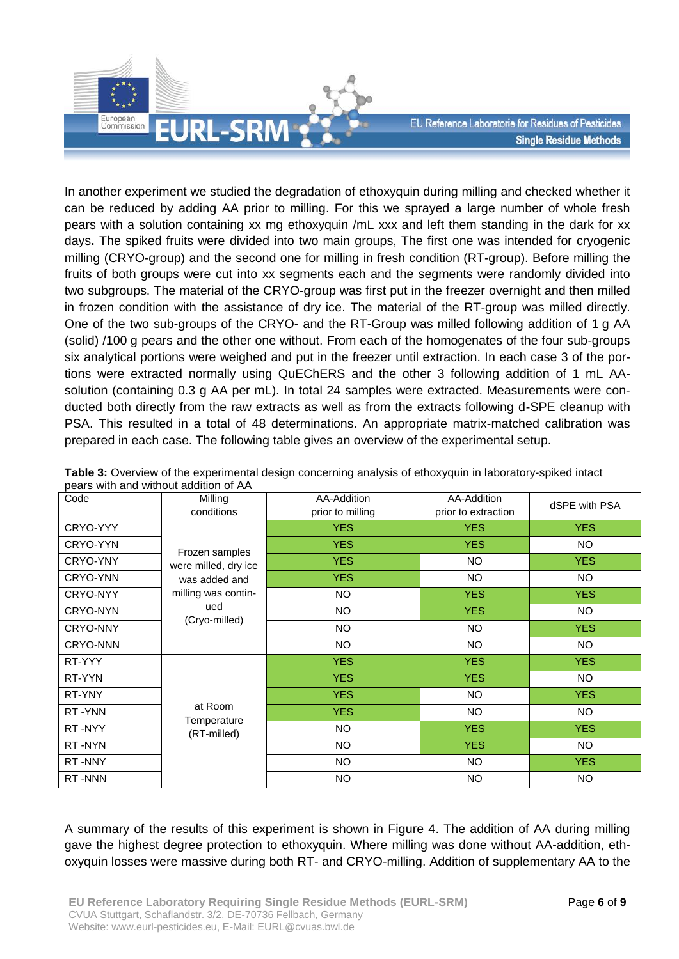

In another experiment we studied the degradation of ethoxyquin during milling and checked whether it can be reduced by adding AA prior to milling. For this we sprayed a large number of whole fresh pears with a solution containing xx mg ethoxyquin /mL xxx and left them standing in the dark for xx days**.** The spiked fruits were divided into two main groups, The first one was intended for cryogenic milling (CRYO-group) and the second one for milling in fresh condition (RT-group). Before milling the fruits of both groups were cut into xx segments each and the segments were randomly divided into two subgroups. The material of the CRYO-group was first put in the freezer overnight and then milled in frozen condition with the assistance of dry ice. The material of the RT-group was milled directly. One of the two sub-groups of the CRYO- and the RT-Group was milled following addition of 1 g AA (solid) /100 g pears and the other one without. From each of the homogenates of the four sub-groups six analytical portions were weighed and put in the freezer until extraction. In each case 3 of the portions were extracted normally using QuEChERS and the other 3 following addition of 1 mL AAsolution (containing 0.3 g AA per mL). In total 24 samples were extracted. Measurements were conducted both directly from the raw extracts as well as from the extracts following d-SPE cleanup with PSA. This resulted in a total of 48 determinations. An appropriate matrix-matched calibration was prepared in each case. The following table gives an overview of the experimental setup.

| Code            | Milling                                                                                                | AA-Addition      | AA-Addition         | dSPE with PSA |  |
|-----------------|--------------------------------------------------------------------------------------------------------|------------------|---------------------|---------------|--|
|                 | conditions                                                                                             | prior to milling | prior to extraction |               |  |
| CRYO-YYY        | Frozen samples<br>were milled, dry ice<br>was added and<br>milling was contin-<br>ued<br>(Cryo-milled) | <b>YES</b>       | <b>YES</b>          | <b>YES</b>    |  |
| CRYO-YYN        |                                                                                                        | <b>YES</b>       | <b>YES</b>          | <b>NO</b>     |  |
| CRYO-YNY        |                                                                                                        | <b>YES</b>       | <b>NO</b>           | <b>YES</b>    |  |
| CRYO-YNN        |                                                                                                        | <b>YES</b>       | <b>NO</b>           | <b>NO</b>     |  |
| CRYO-NYY        |                                                                                                        | <b>NO</b>        | <b>YES</b>          | <b>YES</b>    |  |
| CRYO-NYN        |                                                                                                        | <b>NO</b>        | <b>YES</b>          | <b>NO</b>     |  |
| CRYO-NNY        |                                                                                                        | <b>NO</b>        | <b>NO</b>           | <b>YES</b>    |  |
| <b>CRYO-NNN</b> |                                                                                                        | <b>NO</b>        | <b>NO</b>           | <b>NO</b>     |  |
| RT-YYY          | at Room<br>Temperature<br>(RT-milled)                                                                  | <b>YES</b>       | <b>YES</b>          | <b>YES</b>    |  |
| RT-YYN          |                                                                                                        | <b>YES</b>       | <b>YES</b>          | <b>NO</b>     |  |
| RT-YNY          |                                                                                                        | <b>YES</b>       | <b>NO</b>           | <b>YES</b>    |  |
| RT-YNN          |                                                                                                        | <b>YES</b>       | NO                  | <b>NO</b>     |  |
| RT-NYY          |                                                                                                        | <b>NO</b>        | <b>YES</b>          | <b>YES</b>    |  |
| RT-NYN          |                                                                                                        | <b>NO</b>        | <b>YES</b>          | <b>NO</b>     |  |
| RT-NNY          |                                                                                                        | <b>NO</b>        | NO                  | <b>YES</b>    |  |
| RT-NNN          |                                                                                                        | <b>NO</b>        | <b>NO</b>           | <b>NO</b>     |  |

**Table 3:** Overview of the experimental design concerning analysis of ethoxyquin in laboratory-spiked intact pears with and without addition of AA

A summary of the results of this experiment is shown in Figure 4. The addition of AA during milling gave the highest degree protection to ethoxyquin. Where milling was done without AA-addition, ethoxyquin losses were massive during both RT- and CRYO-milling. Addition of supplementary AA to the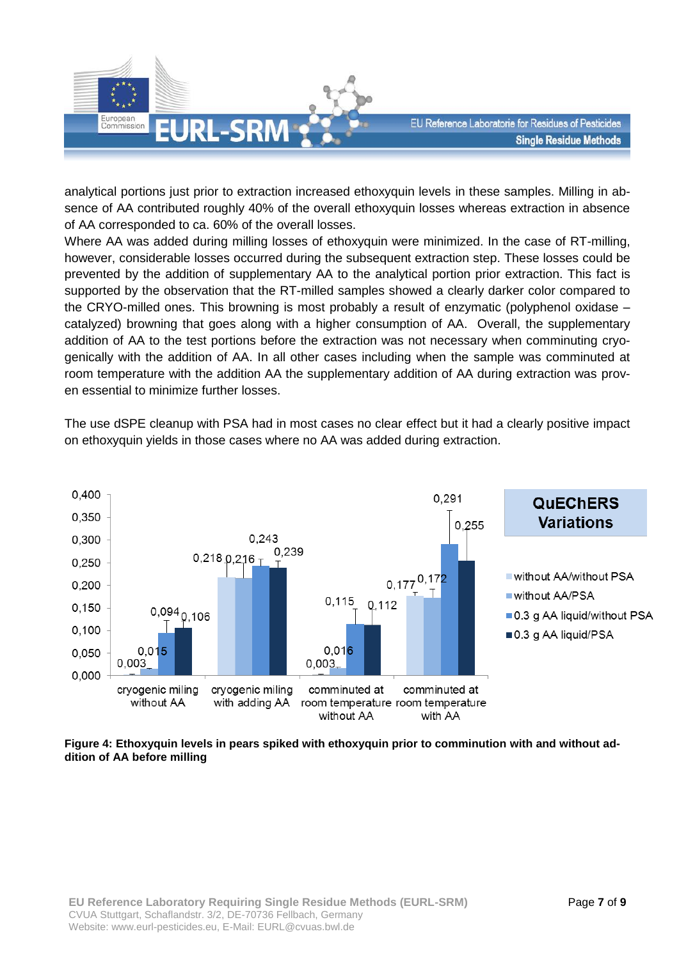

analytical portions just prior to extraction increased ethoxyquin levels in these samples. Milling in absence of AA contributed roughly 40% of the overall ethoxyquin losses whereas extraction in absence of AA corresponded to ca. 60% of the overall losses.

Where AA was added during milling losses of ethoxyquin were minimized. In the case of RT-milling, however, considerable losses occurred during the subsequent extraction step. These losses could be prevented by the addition of supplementary AA to the analytical portion prior extraction. This fact is supported by the observation that the RT-milled samples showed a clearly darker color compared to the CRYO-milled ones. This browning is most probably a result of enzymatic (polyphenol oxidase – catalyzed) browning that goes along with a higher consumption of AA. Overall, the supplementary addition of AA to the test portions before the extraction was not necessary when comminuting cryogenically with the addition of AA. In all other cases including when the sample was comminuted at room temperature with the addition AA the supplementary addition of AA during extraction was proven essential to minimize further losses.

The use dSPE cleanup with PSA had in most cases no clear effect but it had a clearly positive impact on ethoxyquin yields in those cases where no AA was added during extraction.



#### **Figure 4: Ethoxyquin levels in pears spiked with ethoxyquin prior to comminution with and without addition of AA before milling**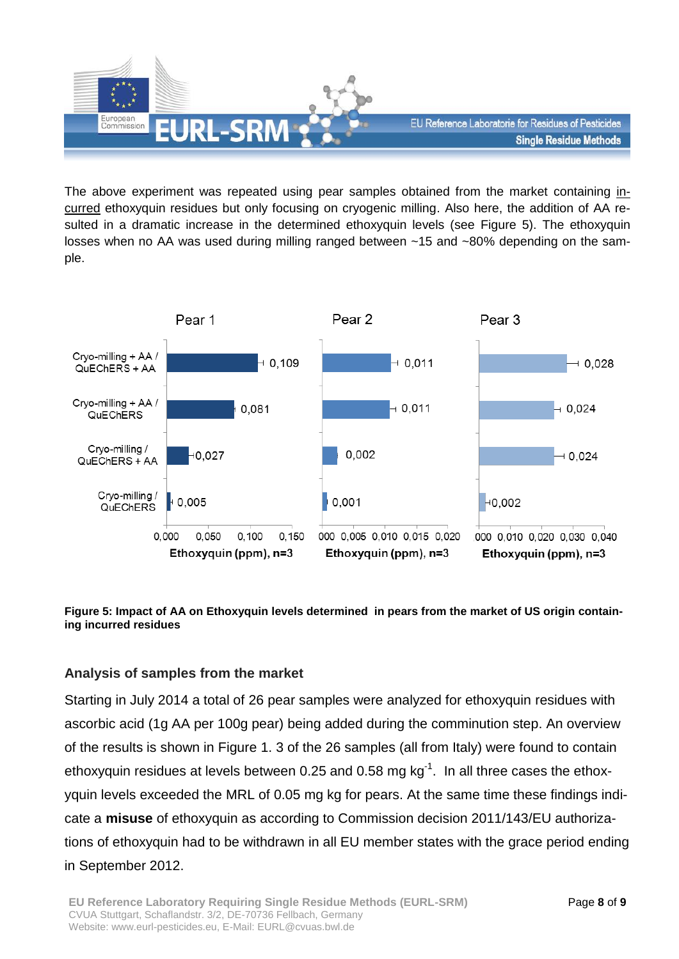

The above experiment was repeated using pear samples obtained from the market containing incurred ethoxyquin residues but only focusing on cryogenic milling. Also here, the addition of AA resulted in a dramatic increase in the determined ethoxyquin levels (see Figure 5). The ethoxyquin losses when no AA was used during milling ranged between ~15 and ~80% depending on the sample.



#### **Figure 5: Impact of AA on Ethoxyquin levels determined in pears from the market of US origin containing incurred residues**

# **Analysis of samples from the market**

Starting in July 2014 a total of 26 pear samples were analyzed for ethoxyquin residues with ascorbic acid (1g AA per 100g pear) being added during the comminution step. An overview of the results is shown in [Figure 1.](#page-8-0) 3 of the 26 samples (all from Italy) were found to contain ethoxyquin residues at levels between 0.25 and 0.58 mg  $kg^{-1}$ . In all three cases the ethoxyquin levels exceeded the MRL of 0.05 mg kg for pears. At the same time these findings indicate a **misuse** of ethoxyquin as according to Commission decision 2011/143/EU authorizations of ethoxyquin had to be withdrawn in all EU member states with the grace period ending in September 2012.